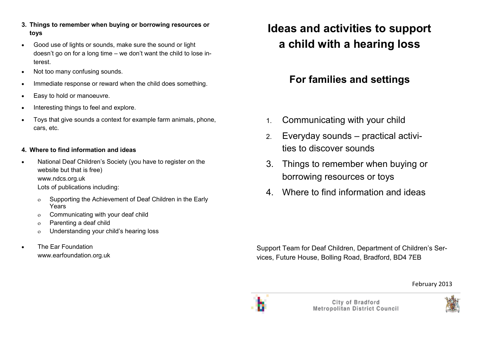- **3. Things to remember when buying or borrowing resources or toys**
- Good use of lights or sounds, make sure the sound or light doesn't go on for a long time – we don't want the child to lose interest.
- Not too many confusing sounds.
- Immediate response or reward when the child does something.
- Easy to hold or manoeuvre.
- Interesting things to feel and explore.
- Toys that give sounds a context for example farm animals, phone, cars, etc.

### **4. Where to find information and ideas**

- National Deaf Children's Society (you have to register on the website but that is free) www.ndcs.org.uk Lots of publications including:
	- ο Supporting the Achievement of Deaf Children in the Early Years
	- ο Communicating with your deaf child
	- ο Parenting a deaf child
	- ο Understanding your child's hearing loss
- The Ear Foundation www.earfoundation.org.uk

# **Ideas and activities to support a child with a hearing loss**

## **For families and settings**

- 1. Communicating with your child
- 2. Everyday sounds practical activities to discover sounds
- 3. Things to remember when buying or borrowing resources or toys
- 4. Where to find information and ideas

Support Team for Deaf Children, Department of Children's Services, Future House, Bolling Road, Bradford, BD4 7EB

February 2013